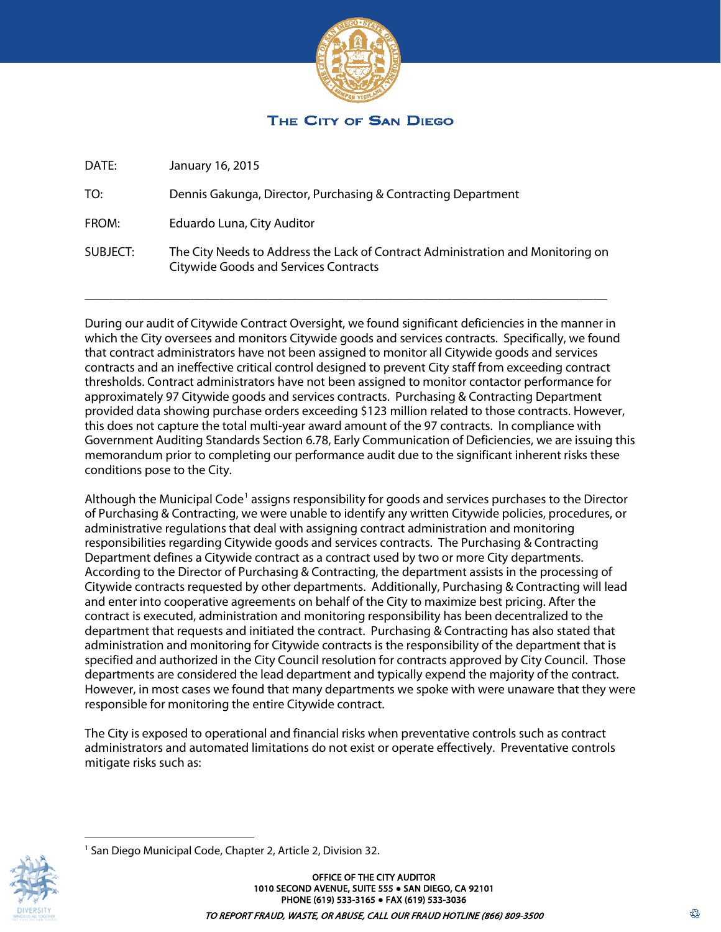

# THE CITY OF SAN DIEGO

DATE: January 16, 2015

TO: Dennis Gakunga, Director, Purchasing & Contracting Department

FROM: Eduardo Luna, City Auditor

SUBJECT: The City Needs to Address the Lack of Contract Administration and Monitoring on Citywide Goods and Services Contracts

\_\_\_\_\_\_\_\_\_\_\_\_\_\_\_\_\_\_\_\_\_\_\_\_\_\_\_\_\_\_\_\_\_\_\_\_\_\_\_\_\_\_\_\_\_\_\_\_\_\_\_\_\_\_\_\_\_\_\_\_\_\_\_\_\_\_\_\_\_\_\_\_\_\_

During our audit of Citywide Contract Oversight, we found significant deficiencies in the manner in which the City oversees and monitors Citywide goods and services contracts. Specifically, we found that contract administrators have not been assigned to monitor all Citywide goods and services contracts and an ineffective critical control designed to prevent City staff from exceeding contract thresholds. Contract administrators have not been assigned to monitor contactor performance for approximately 97 Citywide goods and services contracts. Purchasing & Contracting Department provided data showing purchase orders exceeding \$123 million related to those contracts. However, this does not capture the total multi-year award amount of the 97 contracts. In compliance with Government Auditing Standards Section 6.78, Early Communication of Deficiencies, we are issuing this memorandum prior to completing our performance audit due to the significant inherent risks these conditions pose to the City.

Although the Municipal Code<sup>[1](#page-0-0)</sup> assigns responsibility for goods and services purchases to the Director of Purchasing & Contracting, we were unable to identify any written Citywide policies, procedures, or administrative regulations that deal with assigning contract administration and monitoring responsibilities regarding Citywide goods and services contracts. The Purchasing & Contracting Department defines a Citywide contract as a contract used by two or more City departments. According to the Director of Purchasing & Contracting, the department assists in the processing of Citywide contracts requested by other departments. Additionally, Purchasing & Contracting will lead and enter into cooperative agreements on behalf of the City to maximize best pricing. After the contract is executed, administration and monitoring responsibility has been decentralized to the department that requests and initiated the contract. Purchasing & Contracting has also stated that administration and monitoring for Citywide contracts is the responsibility of the department that is specified and authorized in the City Council resolution for contracts approved by City Council. Those departments are considered the lead department and typically expend the majority of the contract. However, in most cases we found that many departments we spoke with were unaware that they were responsible for monitoring the entire Citywide contract.

The City is exposed to operational and financial risks when preventative controls such as contract administrators and automated limitations do not exist or operate effectively. Preventative controls mitigate risks such as:

☢

<span id="page-0-0"></span>

 $\overline{a}$ <sup>1</sup> San Diego Municipal Code, Chapter 2, Article 2, Division 32.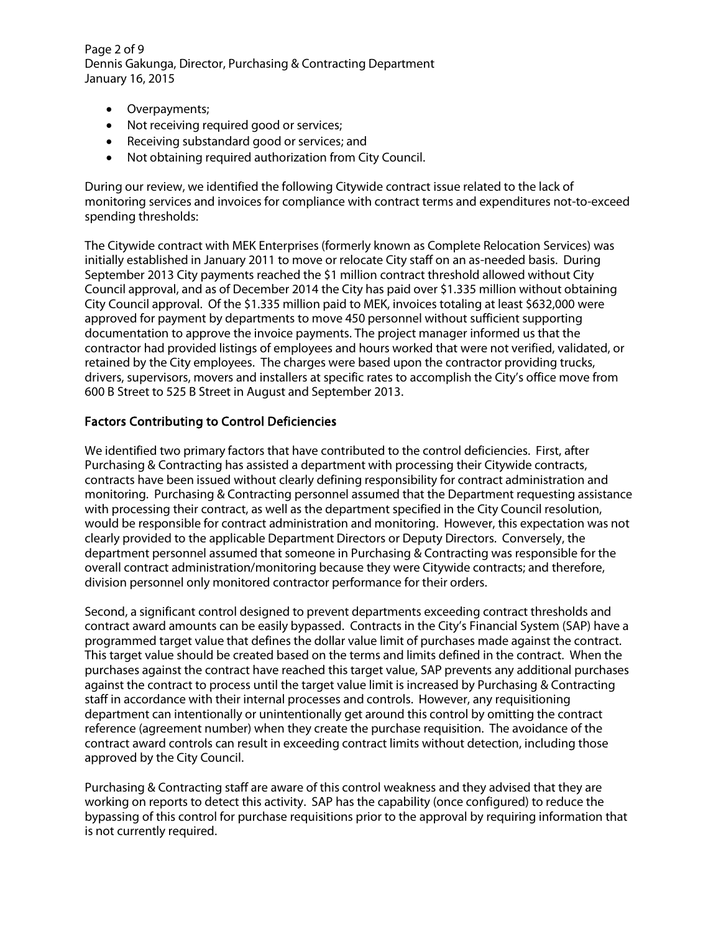Page 2 of 9 Dennis Gakunga, Director, Purchasing & Contracting Department January 16, 2015

- Overpayments;
- Not receiving required good or services;
- Receiving substandard good or services; and
- Not obtaining required authorization from City Council.

During our review, we identified the following Citywide contract issue related to the lack of monitoring services and invoices for compliance with contract terms and expenditures not-to-exceed spending thresholds:

The Citywide contract with MEK Enterprises (formerly known as Complete Relocation Services) was initially established in January 2011 to move or relocate City staff on an as-needed basis. During September 2013 City payments reached the \$1 million contract threshold allowed without City Council approval, and as of December 2014 the City has paid over \$1.335 million without obtaining City Council approval. Of the \$1.335 million paid to MEK, invoices totaling at least \$632,000 were approved for payment by departments to move 450 personnel without sufficient supporting documentation to approve the invoice payments. The project manager informed us that the contractor had provided listings of employees and hours worked that were not verified, validated, or retained by the City employees. The charges were based upon the contractor providing trucks, drivers, supervisors, movers and installers at specific rates to accomplish the City's office move from 600 B Street to 525 B Street in August and September 2013.

### Factors Contributing to Control Deficiencies

We identified two primary factors that have contributed to the control deficiencies. First, after Purchasing & Contracting has assisted a department with processing their Citywide contracts, contracts have been issued without clearly defining responsibility for contract administration and monitoring. Purchasing & Contracting personnel assumed that the Department requesting assistance with processing their contract, as well as the department specified in the City Council resolution, would be responsible for contract administration and monitoring. However, this expectation was not clearly provided to the applicable Department Directors or Deputy Directors. Conversely, the department personnel assumed that someone in Purchasing & Contracting was responsible for the overall contract administration/monitoring because they were Citywide contracts; and therefore, division personnel only monitored contractor performance for their orders.

Second, a significant control designed to prevent departments exceeding contract thresholds and contract award amounts can be easily bypassed. Contracts in the City's Financial System (SAP) have a programmed target value that defines the dollar value limit of purchases made against the contract. This target value should be created based on the terms and limits defined in the contract. When the purchases against the contract have reached this target value, SAP prevents any additional purchases against the contract to process until the target value limit is increased by Purchasing & Contracting staff in accordance with their internal processes and controls. However, any requisitioning department can intentionally or unintentionally get around this control by omitting the contract reference (agreement number) when they create the purchase requisition. The avoidance of the contract award controls can result in exceeding contract limits without detection, including those approved by the City Council.

Purchasing & Contracting staff are aware of this control weakness and they advised that they are working on reports to detect this activity. SAP has the capability (once configured) to reduce the bypassing of this control for purchase requisitions prior to the approval by requiring information that is not currently required.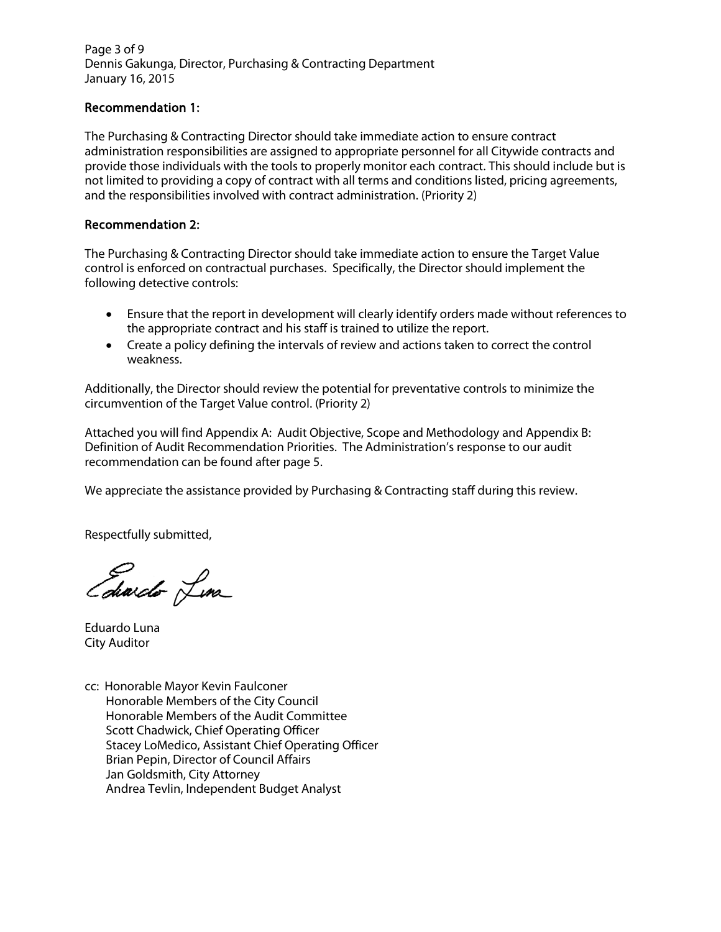Page 3 of 9 Dennis Gakunga, Director, Purchasing & Contracting Department January 16, 2015

#### Recommendation 1:

The Purchasing & Contracting Director should take immediate action to ensure contract administration responsibilities are assigned to appropriate personnel for all Citywide contracts and provide those individuals with the tools to properly monitor each contract. This should include but is not limited to providing a copy of contract with all terms and conditions listed, pricing agreements, and the responsibilities involved with contract administration. (Priority 2)

#### Recommendation 2:

The Purchasing & Contracting Director should take immediate action to ensure the Target Value control is enforced on contractual purchases. Specifically, the Director should implement the following detective controls:

- Ensure that the report in development will clearly identify orders made without references to the appropriate contract and his staff is trained to utilize the report.
- Create a policy defining the intervals of review and actions taken to correct the control weakness.

Additionally, the Director should review the potential for preventative controls to minimize the circumvention of the Target Value control. (Priority 2)

Attached you will find Appendix A: Audit Objective, Scope and Methodology and Appendix B: Definition of Audit Recommendation Priorities. The Administration's response to our audit recommendation can be found after page 5.

We appreciate the assistance provided by Purchasing & Contracting staff during this review.

Respectfully submitted,

Edwido Lina

Eduardo Luna City Auditor

cc: Honorable Mayor Kevin Faulconer Honorable Members of the City Council Honorable Members of the Audit Committee Scott Chadwick, Chief Operating Officer Stacey LoMedico, Assistant Chief Operating Officer Brian Pepin, Director of Council Affairs Jan Goldsmith, City Attorney Andrea Tevlin, Independent Budget Analyst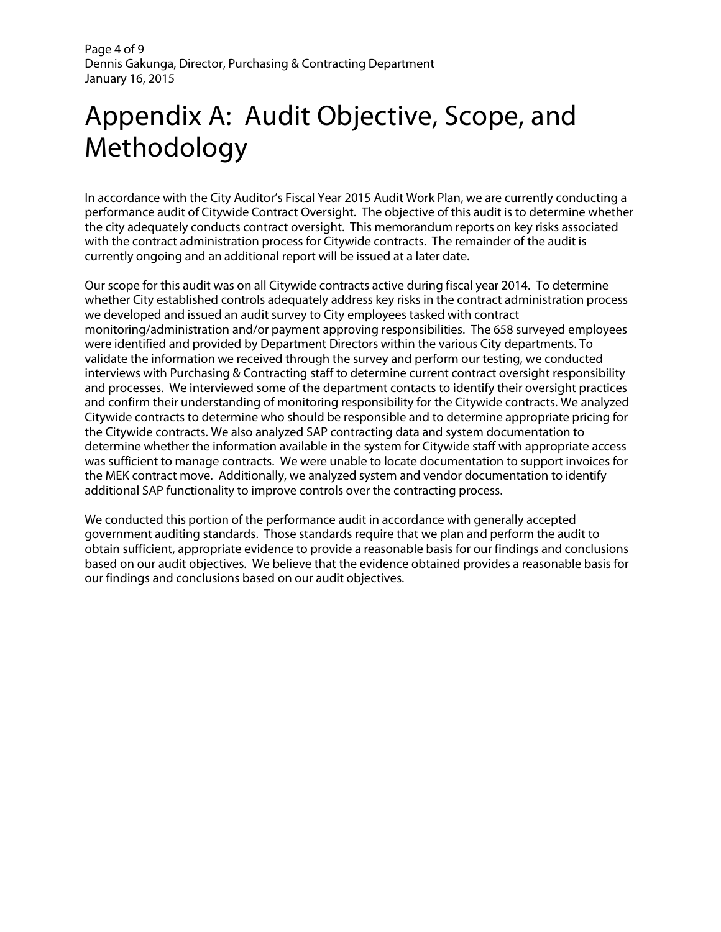Page 4 of 9 Dennis Gakunga, Director, Purchasing & Contracting Department January 16, 2015

# Appendix A: Audit Objective, Scope, and Methodology

In accordance with the City Auditor's Fiscal Year 2015 Audit Work Plan, we are currently conducting a performance audit of Citywide Contract Oversight. The objective of this audit is to determine whether the city adequately conducts contract oversight. This memorandum reports on key risks associated with the contract administration process for Citywide contracts. The remainder of the audit is currently ongoing and an additional report will be issued at a later date.

Our scope for this audit was on all Citywide contracts active during fiscal year 2014. To determine whether City established controls adequately address key risks in the contract administration process we developed and issued an audit survey to City employees tasked with contract monitoring/administration and/or payment approving responsibilities. The 658 surveyed employees were identified and provided by Department Directors within the various City departments. To validate the information we received through the survey and perform our testing, we conducted interviews with Purchasing & Contracting staff to determine current contract oversight responsibility and processes. We interviewed some of the department contacts to identify their oversight practices and confirm their understanding of monitoring responsibility for the Citywide contracts. We analyzed Citywide contracts to determine who should be responsible and to determine appropriate pricing for the Citywide contracts. We also analyzed SAP contracting data and system documentation to determine whether the information available in the system for Citywide staff with appropriate access was sufficient to manage contracts. We were unable to locate documentation to support invoices for the MEK contract move. Additionally, we analyzed system and vendor documentation to identify additional SAP functionality to improve controls over the contracting process.

We conducted this portion of the performance audit in accordance with generally accepted government auditing standards. Those standards require that we plan and perform the audit to obtain sufficient, appropriate evidence to provide a reasonable basis for our findings and conclusions based on our audit objectives. We believe that the evidence obtained provides a reasonable basis for our findings and conclusions based on our audit objectives.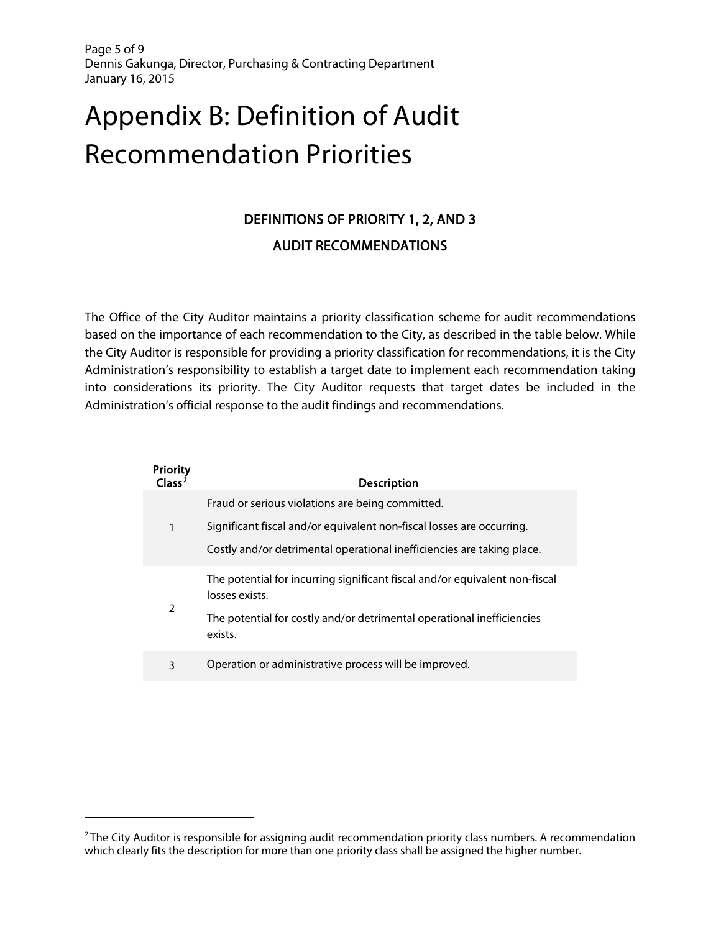Page 5 of 9 Dennis Gakunga, Director, Purchasing & Contracting Department January 16, 2015

# Appendix B: Definition of Audit Recommendation Priorities

# DEFINITIONS OF PRIORITY 1, 2, AND 3 AUDIT RECOMMENDATIONS

The Office of the City Auditor maintains a priority classification scheme for audit recommendations based on the importance of each recommendation to the City, as described in the table below. While the City Auditor is responsible for providing a priority classification for recommendations, it is the City Administration's responsibility to establish a target date to implement each recommendation taking into considerations its priority. The City Auditor requests that target dates be included in the Administration's official response to the audit findings and recommendations.

| Priority<br>Class <sup>2</sup> | <b>Description</b>                                                                            |
|--------------------------------|-----------------------------------------------------------------------------------------------|
|                                | Fraud or serious violations are being committed.                                              |
|                                | Significant fiscal and/or equivalent non-fiscal losses are occurring.                         |
|                                | Costly and/or detrimental operational inefficiencies are taking place.                        |
| $\mathcal{P}$                  | The potential for incurring significant fiscal and/or equivalent non-fiscal<br>losses exists. |
|                                | The potential for costly and/or detrimental operational inefficiencies<br>exists.             |
| 3                              | Operation or administrative process will be improved.                                         |

 $\overline{a}$ 

<span id="page-4-0"></span> $2$  The City Auditor is responsible for assigning audit recommendation priority class numbers. A recommendation which clearly fits the description for more than one priority class shall be assigned the higher number.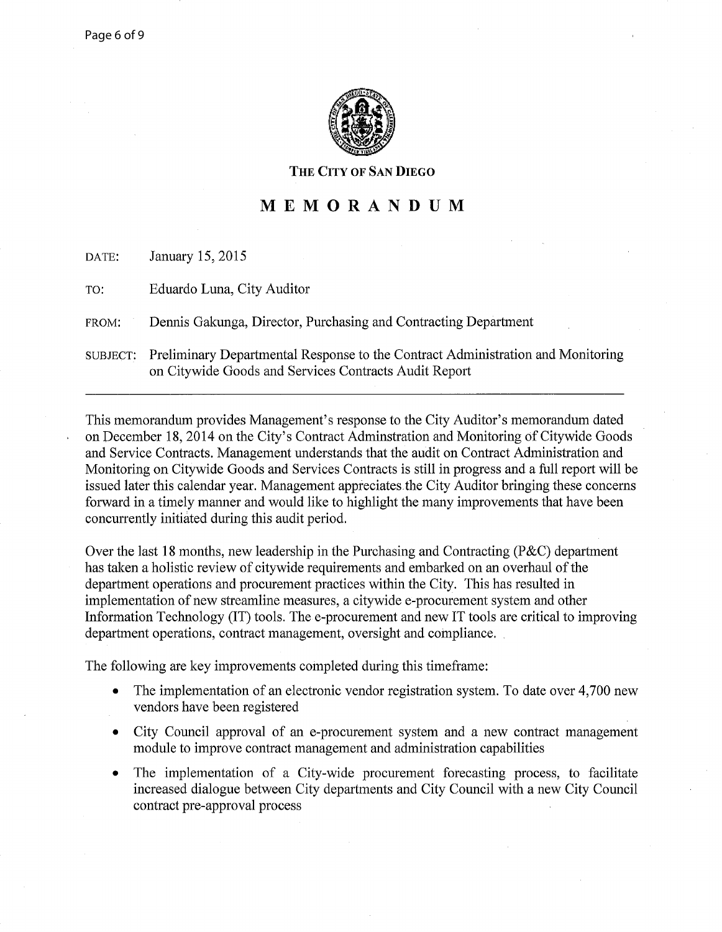

#### **THE CITY OF** SAN **DIEGO**

# **MEMORANDUM**

| DATE:    | January 15, 2015                                                                                                                         |
|----------|------------------------------------------------------------------------------------------------------------------------------------------|
| TO:      | Eduardo Luna, City Auditor                                                                                                               |
| FROM:    | Dennis Gakunga, Director, Purchasing and Contracting Department                                                                          |
| SUBJECT: | Preliminary Departmental Response to the Contract Administration and Monitoring<br>on Citywide Goods and Services Contracts Audit Report |

This memorandum provides Management's response to the City Auditor's memorandum dated on December 18, 2014 on the City's Contract Adminstration and Monitoring of Citywide Goods and Service Contracts. Management understands that the audit on Contract Administration and Monitoring on Citywide Goods and Services Contracts is still in progress and a full report will be issued later this calendar year. Management appreciates. the City Auditor bringing these concerns forward in a timely manner and would like to highlight the many improvements that have been concurrently initiated during this audit period.

Over the last 18 months, new leadership in the Purchasing and Contracting (P&C) department has taken a holistic review of citywide requirements and embarked on an overhaul of the department operations and procurement practices within the City. This has resulted in implementation of new streamline measures, a citywide e-procurement system and other Information Technology (IT) tools. The e-procurement and new IT tools are critical to improving department operations, contract management, oversight and compliance.

The following are key improvements completed during this timeframe:

- The implementation of an electronic vendor registration system. To date over 4,700 new vendors have been registered
- City Council approval of an e-procurement system and a new contract management module to improve contract management and administration capabilities
- The implementation of a City-wide procurement forecasting process, to facilitate increased dialogue between City departments and City Council with a new City Council contract pre-approval process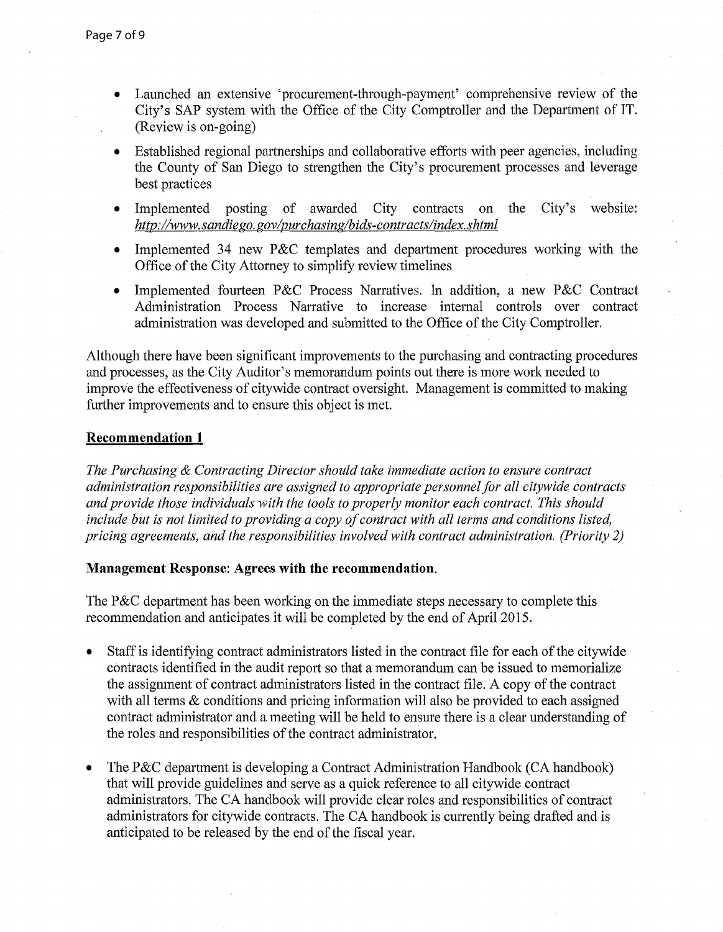- Launched an extensive 'procurement-through-payment' comprehensive review of the City's SAP system with the Office of the City Comptroller and the Department of IT. (Review is on-going)
- Established regional partnerships and collaborative efforts with peer agencies, including the County of San Diego to strengthen the City's procurement processes and leverage best practices
- Implemented posting of awarded City contracts on the City's website: http://www.sandiego.gov/purchasing/bids-contracts/index.shtml
- Implemented 34 new P&C templates and department procedures working with the Office of the City Attorney to simplify review timelines
- Implemented fourteen P&C Process Narratives. In addition, a new P&C Contract Administration Process Narrative to increase internal controls over contract administration was developed and submitted to the Office of the City Comptroller.

Although there have been significant improvements to the purchasing and contracting procedures and processes, as the City Auditor's memorandum points out there is more work needed to improve the effectiveness of citywide contract oversight. Management is committed to making further improvements and to ensure this object is met.

### **Recommendation 1**

*The Purchasing* & *Contracting Director should take immediate action to ensure contract administration responsibilities are assigned to appropriate personnel for all citywide contracts and provide those individuals with the tools to properly monitor each contract. This should include but is not limited to providing a copy of contract with all terms and conditions listed, pricing agreements, and the responsibilities involved with contract administration. (Priority 2)* 

# **Management Response: Agrees with the recommendation.**

The P&C department has been working on the immediate steps necessary to complete this recommendation and anticipates it will be completed by the end of April 2015.

- Staff is identifying contract administrators listed in the contract file for each of the citywide contracts identified in the audit report so that a memorandum can be issued to memorialize the assignment of contract administrators listed in the contract file. A copy of the contract with all terms & conditions and pricing information will also be provided to each assigned contract administrator and a meeting will be held to ensure there is a clear understanding of the roles and responsibilities of the contract administrator.
- The P&C department is developing a Contract Administration Handbook (CA handbook) that will provide guidelines and serve as a quick reference to all citywide contract administrators. The CA handbook will provide clear roles and responsibilities of contract administrators for citywide contracts. The CA handbook is currently being drafted and is anticipated to be released by the end of the fiscal year.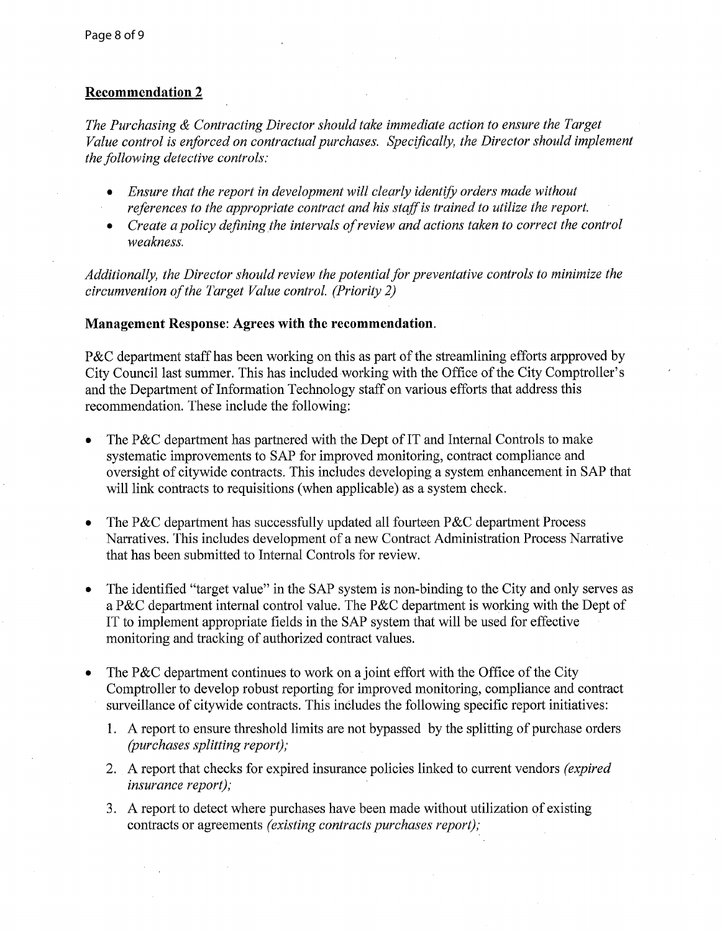## **Recommendation 2**

*The Purchasing* & *Contracting Director should take immediate action to ensure the Target Value control is enforced on contractual purchases. Specifically, the Director should implement the following detective controls:* 

- *Ensure that the report in development will clearly identifo orders made without references to the appropriate contract and his staff is trained to utilize the report.*
- Create a policy defining the intervals of review and actions taken to correct the control *weakness.*

*Additionally, the Director should review the potential for preventative controls to minimize the circumvention of the Target Value control. (Priority 2)* 

#### **Management Response: Agrees with the recommendation.**

P&C department staff has been working on this as part of the streamlining efforts arpproved by City Council last summer. This has included working with the Office of the City Comptroller's and the Department of Information Technology staff on various efforts that address this recommendation. These include the following:

- The P&C department has partnered with the Dept of IT and Internal Controls to make systematic improvements to SAP for improved monitoring, contract compliance and oversight of citywide contracts. This includes developing a system enhancement in SAP that will link contracts to requisitions (when applicable) as a system check.
- The P&C department has successfully updated all fourteen P&C department Process Narratives. This includes development of a new Contract Administration Process Narrative that has been submitted to Internal Controls for review.
- The identified "target value" in the SAP system is non-binding to the City and only serves as a P&C department internal control value. The P&C department is working with the Dept of **IT** to implement appropriate fields in the SAP system that will be used for effective monitoring and tracking of authorized contract values.
- The P&C department continues to work on a joint effort with the Office of the City Comptroller to develop robust reporting for improved monitoring, compliance and contract surveillance of citywide contracts. This includes the following specific report initiatives:
	- 1. A report to ensure threshold limits are not bypassed by the splitting of purchase orders *(purchases splitting report);*
	- 2. A report that checks for expired insurance policies linked to current vendors *(expired insurance report);*
	- 3. A report to detect where purchases have been made without utilization of existing contracts or agreements *(existing contracts purchases report);*